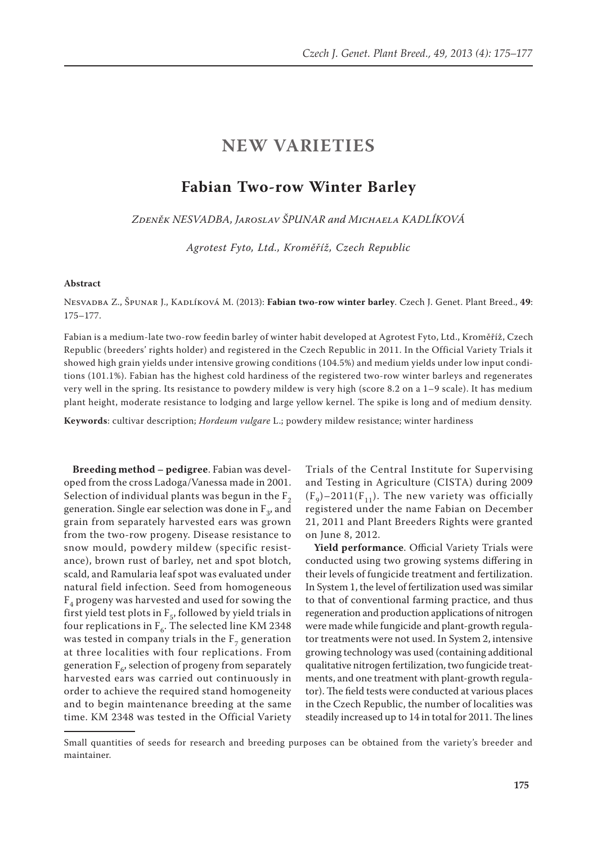## **NEW VARIETIES**

## **Fabian Two-row Winter Barley**

*Zdeněk NESVADBA, Jaroslav ŠPUNAR and Michaela KADLÍKOVÁ*

*Agrotest Fyto, Ltd., Kroměříž, Czech Republic*

## **Abstract**

Nesvadba Z., Špunar J., Kadlíková M. (2013): **Fabian two-row winter barley**. Czech J. Genet. Plant Breed., **49**: 175–177.

Fabian is a medium-late two-row feedin barley of winter habit developed at Agrotest Fyto, Ltd., Kroměříž, Czech Republic (breeders' rights holder) and registered in the Czech Republic in 2011. In the Official Variety Trials it showed high grain yields under intensive growing conditions (104.5%) and medium yields under low input conditions (101.1%). Fabian has the highest cold hardiness of the registered two-row winter barleys and regenerates very well in the spring. Its resistance to powdery mildew is very high (score 8.2 on a 1–9 scale). It has medium plant height, moderate resistance to lodging and large yellow kernel. The spike is long and of medium density.

**Keywords**: cultivar description; *Hordeum vulgare* L.; powdery mildew resistance; winter hardiness

**Breeding method – pedigree**. Fabian was developed from the cross Ladoga/Vanessa made in 2001. Selection of individual plants was begun in the  $F_2$ generation. Single ear selection was done in  $F_3$ , and grain from separately harvested ears was grown from the two-row progeny. Disease resistance to snow mould, powdery mildew (specific resistance), brown rust of barley, net and spot blotch, scald, and Ramularia leaf spot was evaluated under natural field infection. Seed from homogeneous  $F_4$  progeny was harvested and used for sowing the first yield test plots in  $F_5$ , followed by yield trials in four replications in  $F_6$ . The selected line KM 2348 was tested in company trials in the  $F_7$  generation at three localities with four replications. From generation  $F_{c}$ , selection of progeny from separately harvested ears was carried out continuously in order to achieve the required stand homogeneity and to begin maintenance breeding at the same time. KM 2348 was tested in the Official Variety

Trials of the Central Institute for Supervising and Testing in Agriculture (CISTA) during 2009  $(F_q)$ –2011( $F_{11}$ ). The new variety was officially registered under the name Fabian on December 21, 2011 and Plant Breeders Rights were granted on June 8, 2012.

**Yield performance**. Official Variety Trials were conducted using two growing systems differing in their levels of fungicide treatment and fertilization. In System 1, the level of fertilization used was similar to that of conventional farming practice, and thus regeneration and production applications of nitrogen were made while fungicide and plant-growth regulator treatments were not used. In System 2, intensive growing technology was used (containing additional qualitative nitrogen fertilization, two fungicide treatments, and one treatment with plant-growth regulator). The field tests were conducted at various places in the Czech Republic, the number of localities was steadily increased up to 14 in total for 2011. The lines

Small quantities of seeds for research and breeding purposes can be obtained from the variety's breeder and maintainer.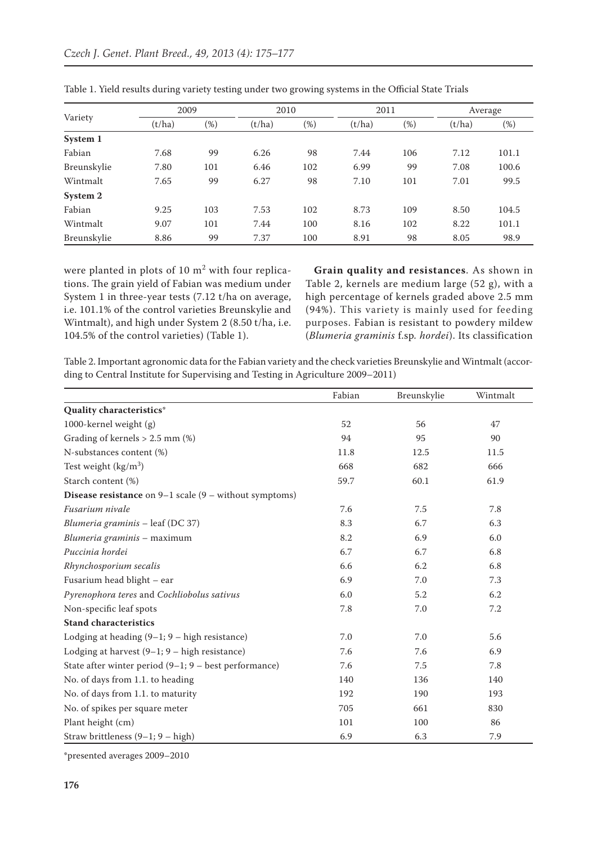| Variety     | 2009   |        | 2010   |        | 2011   |        | Average |        |
|-------------|--------|--------|--------|--------|--------|--------|---------|--------|
|             | (t/ha) | $(\%)$ | (t/ha) | $(\%)$ | (t/ha) | $(\%)$ | (t/ha)  | $(\%)$ |
| System 1    |        |        |        |        |        |        |         |        |
| Fabian      | 7.68   | 99     | 6.26   | 98     | 7.44   | 106    | 7.12    | 101.1  |
| Breunskylie | 7.80   | 101    | 6.46   | 102    | 6.99   | 99     | 7.08    | 100.6  |
| Wintmalt    | 7.65   | 99     | 6.27   | 98     | 7.10   | 101    | 7.01    | 99.5   |
| System 2    |        |        |        |        |        |        |         |        |
| Fabian      | 9.25   | 103    | 7.53   | 102    | 8.73   | 109    | 8.50    | 104.5  |
| Wintmalt    | 9.07   | 101    | 7.44   | 100    | 8.16   | 102    | 8.22    | 101.1  |
| Breunskylie | 8.86   | 99     | 7.37   | 100    | 8.91   | 98     | 8.05    | 98.9   |

Table 1. Yield results during variety testing under two growing systems in the Official State Trials

were planted in plots of  $10 \text{ m}^2$  with four replications. The grain yield of Fabian was medium under System 1 in three-year tests (7.12 t/ha on average, i.e. 101.1% of the control varieties Breunskylie and Wintmalt), and high under System 2 (8.50 t/ha, i.e. 104.5% of the control varieties) (Table 1).

**Grain quality and resistances**. As shown in Table 2, kernels are medium large (52 g), with a high percentage of kernels graded above 2.5 mm (94%). This variety is mainly used for feeding purposes. Fabian is resistant to powdery mildew (*Blumeria graminis* f.sp*. hordei*). Its classification

Table 2. Important agronomic data for the Fabian variety and the check varieties Breunskylie and Wintmalt (according to Central Institute for Supervising and Testing in Agriculture 2009–2011)

|                                                                   | Fabian | Breunskylie | Wintmalt |
|-------------------------------------------------------------------|--------|-------------|----------|
| Quality characteristics*                                          |        |             |          |
| 1000-kernel weight (g)                                            | 52     | 56          | 47       |
| Grading of kernels $> 2.5$ mm (%)                                 | 94     | 95          | 90       |
| N-substances content (%)                                          | 11.8   | 12.5        | 11.5     |
| Test weight $(kg/m3)$                                             | 668    | 682         | 666      |
| Starch content (%)                                                | 59.7   | 60.1        | 61.9     |
| <b>Disease resistance</b> on $9-1$ scale $(9 -$ without symptoms) |        |             |          |
| Fusarium nivale                                                   | 7.6    | 7.5         | 7.8      |
| Blumeria graminis - leaf (DC 37)                                  | 8.3    | 6.7         | 6.3      |
| Blumeria graminis - maximum                                       | 8.2    | 6.9         | 6.0      |
| Puccinia hordei                                                   | 6.7    | 6.7         | 6.8      |
| Rhynchosporium secalis                                            | 6.6    | 6.2         | 6.8      |
| Fusarium head blight - ear                                        | 6.9    | 7.0         | 7.3      |
| Pyrenophora teres and Cochliobolus sativus                        | 6.0    | 5.2         | 6.2      |
| Non-specific leaf spots                                           | 7.8    | 7.0         | 7.2      |
| <b>Stand characteristics</b>                                      |        |             |          |
| Lodging at heading $(9-1; 9 -$ high resistance)                   | 7.0    | 7.0         | 5.6      |
| Lodging at harvest $(9-1; 9 - high resistance)$                   | 7.6    | 7.6         | 6.9      |
| State after winter period (9-1; 9 - best performance)             | 7.6    | 7.5         | 7.8      |
| No. of days from 1.1. to heading                                  | 140    | 136         | 140      |
| No. of days from 1.1. to maturity                                 | 192    | 190         | 193      |
| No. of spikes per square meter                                    | 705    | 661         | 830      |
| Plant height (cm)                                                 | 101    | 100         | 86       |
| Straw brittleness $(9-1; 9 - high)$                               | 6.9    | 6.3         | 7.9      |

\*presented averages 2009–2010